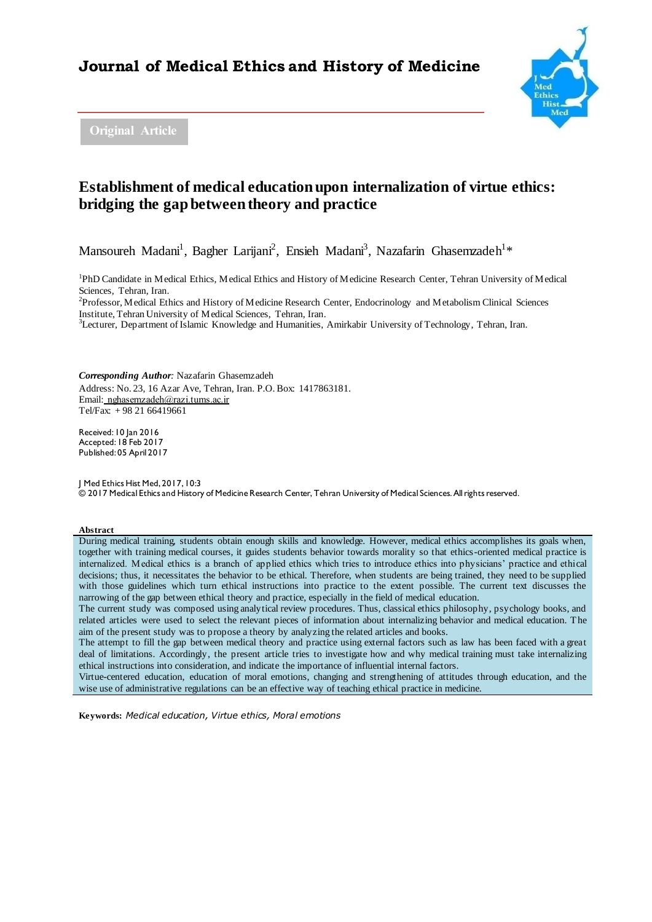# **Journal of Medical Ethics and History of Medicine**



**Original Article**

# **Establishment of medical education upon internalization of virtue ethics: bridging the gap between theory and practice**

Mansoureh Madani<sup>1</sup>, Bagher Larijani<sup>2</sup>, Ensieh Madani<sup>3</sup>, Nazafarin Ghasemzadeh<sup>1</sup>\*

<sup>1</sup>PhD Candidate in Medical Ethics, Medical Ethics and History of Medicine Research Center, Tehran University of Medical Sciences, Tehran, Iran.

<sup>2</sup>Professor, Medical Ethics and History of Medicine Research Center, Endocrinology and Metabolism Clinical Sciences Institute, Tehran University of Medical Sciences, Tehran, Iran.

<sup>3</sup>Lecturer, Department of Islamic Knowledge and Humanities, Amirkabir University of Technology, Tehran, Iran.

*Corresponding Author:* Nazafarin Ghasemzadeh

Address: No. 23, 16 Azar Ave, Tehran, Iran. P.O. Box: 1417863181. Email: nghasemzadeh@razi.tums.ac.ir Tel/Fax: + 98 21 66419661

Received: 10 Jan 2016 Accepted: 18 Feb 2017 Published: 05 April 2017

J Med Ethics Hist Med, 2017, 10:3 © 2017 Medical Ethics and History of Medicine Research Center, Tehran University of Medical Sciences. All rights reserved.

#### **Abstract**

During medical training, students obtain enough skills and knowledge. However, medical ethics accomplishes its goals when, together with training medical courses, it guides students behavior towards morality so that ethics-oriented medical practice is internalized. Medical ethics is a branch of applied ethics which tries to introduce ethics into physicians' practice and ethical decisions; thus, it necessitates the behavior to be ethical. Therefore, when students are being trained, they need to be supplied with those guidelines which turn ethical instructions into practice to the extent possible. The current text discusses the narrowing of the gap between ethical theory and practice, especially in the field of medical education.

The current study was composed using analytical review procedures. Thus, classical ethics philosophy, psychology books, and related articles were used to select the relevant pieces of information about internalizing behavior and medical education. The aim of the present study was to propose a theory by analyzing the related articles and books.

The attempt to fill the gap between medical theory and practice using external factors such as law has been faced with a great deal of limitations. Accordingly, the present article tries to investigate how and why medical training must take internalizing ethical instructions into consideration, and indicate the importance of influential internal factors.

Virtue-centered education, education of moral emotions, changing and strengthening of attitudes through education, and the wise use of administrative regulations can be an effective way of teaching ethical practice in medicine.

**Keywords:** *Medical education, Virtue ethics, Moral emotions*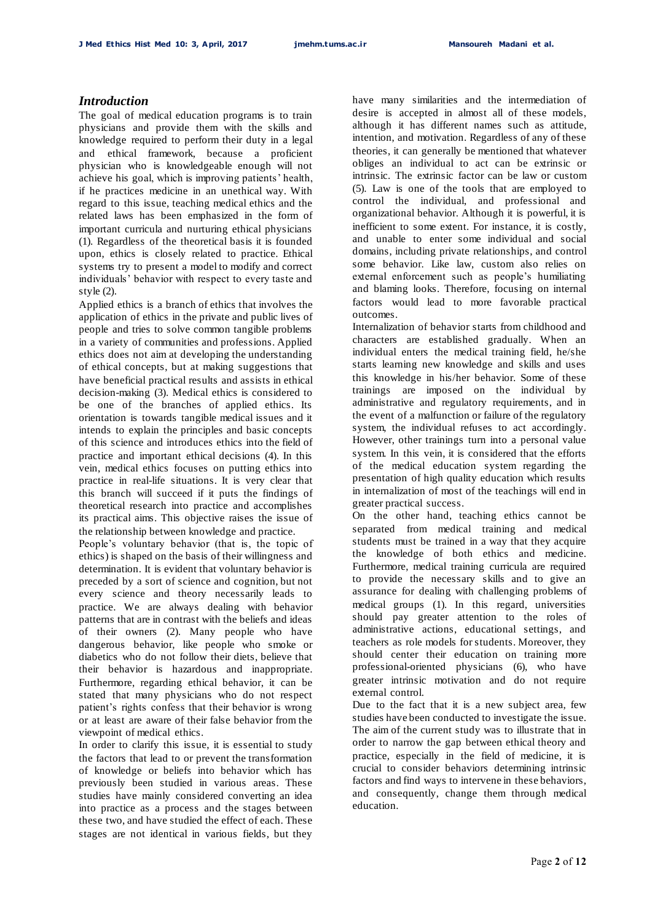### *Introduction*

The goal of medical education programs is to train physicians and provide them with the skills and knowledge required to perform their duty in a legal and ethical framework, because a proficient physician who is knowledgeable enough will not achieve his goal, which is improving patients' health, if he practices medicine in an unethical way. With regard to this issue, teaching medical ethics and the related laws has been emphasized in the form of important curricula and nurturing ethical physicians (1). Regardless of the theoretical basis it is founded upon, ethics is closely related to practice. Ethical systems try to present a model to modify and correct individuals' behavior with respect to every taste and style (2).

Applied ethics is a branch of ethics that involves the application of ethics in the private and public lives of people and tries to solve common tangible problems in a variety of communities and professions. Applied ethics does not aim at developing the understanding of ethical concepts, but at making suggestions that have beneficial practical results and assists in ethical decision-making (3). Medical ethics is considered to be one of the branches of applied ethics. Its orientation is towards tangible medical issues and it intends to explain the principles and basic concepts of this science and introduces ethics into the field of practice and important ethical decisions (4). In this vein, medical ethics focuses on putting ethics into practice in real-life situations. It is very clear that this branch will succeed if it puts the findings of theoretical research into practice and accomplishes its practical aims. This objective raises the issue of the relationship between knowledge and practice.

People's voluntary behavior (that is, the topic of ethics) is shaped on the basis of their willingness and determination. It is evident that voluntary behavior is preceded by a sort of science and cognition, but not every science and theory necessarily leads to practice. We are always dealing with behavior patterns that are in contrast with the beliefs and ideas of their owners (2). Many people who have dangerous behavior, like people who smoke or diabetics who do not follow their diets, believe that their behavior is hazardous and inappropriate. Furthermore, regarding ethical behavior, it can be stated that many physicians who do not respect patient's rights confess that their behavior is wrong or at least are aware of their false behavior from the viewpoint of medical ethics.

In order to clarify this issue, it is essential to study the factors that lead to or prevent the transformation of knowledge or beliefs into behavior which has previously been studied in various areas. These studies have mainly considered converting an idea into practice as a process and the stages between these two, and have studied the effect of each. These stages are not identical in various fields, but they

have many similarities and the intermediation of desire is accepted in almost all of these models, although it has different names such as attitude, intention, and motivation. Regardless of any of these theories, it can generally be mentioned that whatever obliges an individual to act can be extrinsic or intrinsic. The extrinsic factor can be law or custom (5). Law is one of the tools that are employed to control the individual, and professional and organizational behavior. Although it is powerful, it is inefficient to some extent. For instance, it is costly, and unable to enter some individual and social domains, including private relationships, and control some behavior. Like law, custom also relies on external enforcement such as people's humiliating and blaming looks. Therefore, focusing on internal factors would lead to more favorable practical outcomes.

Internalization of behavior starts from childhood and characters are established gradually. When an individual enters the medical training field, he/she starts learning new knowledge and skills and uses this knowledge in his/her behavior. Some of these trainings are imposed on the individual by administrative and regulatory requirements, and in the event of a malfunction or failure of the regulatory system, the individual refuses to act accordingly. However, other trainings turn into a personal value system. In this vein, it is considered that the efforts of the medical education system regarding the presentation of high quality education which results in internalization of most of the teachings will end in greater practical success.

On the other hand, teaching ethics cannot be separated from medical training and medical students must be trained in a way that they acquire the knowledge of both ethics and medicine. Furthermore, medical training curricula are required to provide the necessary skills and to give an assurance for dealing with challenging problems of medical groups (1). In this regard, universities should pay greater attention to the roles of administrative actions, educational settings, and teachers as role models for students. Moreover, they should center their education on training more professional-oriented physicians (6), who have greater intrinsic motivation and do not require external control.

Due to the fact that it is a new subject area, few studies have been conducted to investigate the issue. The aim of the current study was to illustrate that in order to narrow the gap between ethical theory and practice, especially in the field of medicine, it is crucial to consider behaviors determining intrinsic factors and find ways to intervene in these behaviors, and consequently, change them through medical education.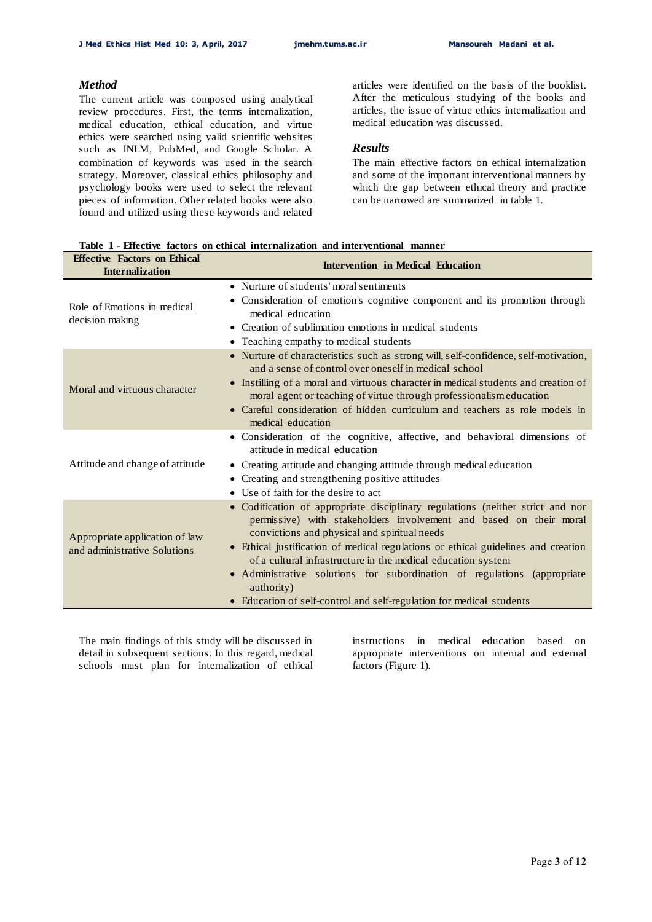**Iffective** Factors on Ethical

## *Method*

The current article was composed using analytical review procedures. First, the terms internalization, medical education, ethical education, and virtue ethics were searched using valid scientific websites such as INLM, PubMed, and Google Scholar. A combination of keywords was used in the search strategy. Moreover, classical ethics philosophy and psychology books were used to select the relevant pieces of information. Other related books were also found and utilized using these keywords and related

articles were identified on the basis of the booklist. After the meticulous studying of the books and articles, the issue of virtue ethics internalization and medical education was discussed.

#### *Results*

The main effective factors on ethical internalization and some of the important interventional manners by which the gap between ethical theory and practice can be narrowed are summarized in table 1.

| <b>Internalization</b>                                         | <b>Intervention in Medical Education</b>                                                                                                                                                                                                                                                                                                                                                                                                                                                                                    |
|----------------------------------------------------------------|-----------------------------------------------------------------------------------------------------------------------------------------------------------------------------------------------------------------------------------------------------------------------------------------------------------------------------------------------------------------------------------------------------------------------------------------------------------------------------------------------------------------------------|
| Role of Emotions in medical<br>decision making                 | • Nurture of students' moral sentiments<br>Consideration of emotion's cognitive component and its promotion through<br>$\bullet$<br>medical education<br>• Creation of sublimation emotions in medical students<br>• Teaching empathy to medical students                                                                                                                                                                                                                                                                   |
| Moral and virtuous character                                   | • Nurture of characteristics such as strong will, self-confidence, self-motivation,<br>and a sense of control over oneself in medical school<br>• Instilling of a moral and virtuous character in medical students and creation of<br>moral agent or teaching of virtue through professionalism education<br>• Careful consideration of hidden curriculum and teachers as role models in<br>medical education                                                                                                               |
| Attitude and change of attitude                                | • Consideration of the cognitive, affective, and behavioral dimensions of<br>attitude in medical education<br>• Creating attitude and changing attitude through medical education<br>• Creating and strengthening positive attitudes<br>• Use of faith for the desire to act                                                                                                                                                                                                                                                |
| Appropriate application of law<br>and administrative Solutions | · Codification of appropriate disciplinary regulations (neither strict and nor<br>permissive) with stakeholders involvement and based on their moral<br>convictions and physical and spiritual needs<br>• Ethical justification of medical regulations or ethical guidelines and creation<br>of a cultural infrastructure in the medical education system<br>• Administrative solutions for subordination of regulations (appropriate<br>authority)<br>• Education of self-control and self-regulation for medical students |

**Table 1 - Effective factors on ethical internalization and interventional manner**

The main findings of this study will be discussed in detail in subsequent sections. In this regard, medical schools must plan for internalization of ethical instructions in medical education based on appropriate interventions on internal and external factors (Figure 1).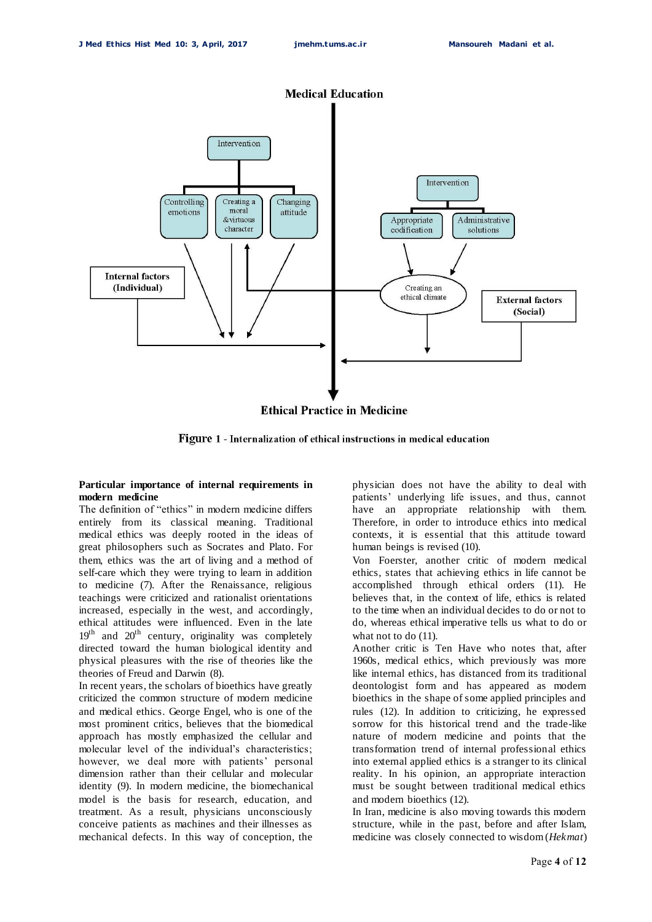

**Ethical Practice in Medicine** 

**Figure 1 - Internalization of ethical instructions in medical education** 

#### **Particular importance of internal requirements in modern medicine**

The definition of "ethics" in modern medicine differs entirely from its classical meaning. Traditional medical ethics was deeply rooted in the ideas of great philosophers such as Socrates and Plato. For them, ethics was the art of living and a method of self-care which they were trying to learn in addition to medicine (7). After the Renaissance, religious teachings were criticized and rationalist orientations increased, especially in the west, and accordingly, ethical attitudes were influenced. Even in the late  $19<sup>th</sup>$  and  $20<sup>th</sup>$  century, originality was completely directed toward the human biological identity and physical pleasures with the rise of theories like the theories of Freud and Darwin (8).

In recent years, the scholars of bioethics have greatly criticized the common structure of modern medicine and medical ethics. George Engel, who is one of the most prominent critics, believes that the biomedical approach has mostly emphasized the cellular and molecular level of the individual's characteristics; however, we deal more with patients' personal dimension rather than their cellular and molecular identity (9). In modern medicine, the biomechanical model is the basis for research, education, and treatment. As a result, physicians unconsciously conceive patients as machines and their illnesses as mechanical defects. In this way of conception, the

physician does not have the ability to deal with patients' underlying life issues, and thus, cannot have an appropriate relationship with them. Therefore, in order to introduce ethics into medical contexts, it is essential that this attitude toward human beings is revised (10).

Von Foerster, another critic of modern medical ethics, states that achieving ethics in life cannot be accomplished through ethical orders (11). He believes that, in the context of life, ethics is related to the time when an individual decides to do or not to do, whereas ethical imperative tells us what to do or what not to do  $(11)$ .

Another critic is Ten Have who notes that, after 1960s, medical ethics, which previously was more like internal ethics, has distanced from its traditional deontologist form and has appeared as modern bioethics in the shape of some applied principles and rules (12). In addition to criticizing, he expressed sorrow for this historical trend and the trade-like nature of modern medicine and points that the transformation trend of internal professional ethics into external applied ethics is a stranger to its clinical reality. In his opinion, an appropriate interaction must be sought between traditional medical ethics and modern bioethics (12).

In Iran, medicine is also moving towards this modern structure, while in the past, before and after Islam, medicine was closely connected to wisdom (*Hekmat*)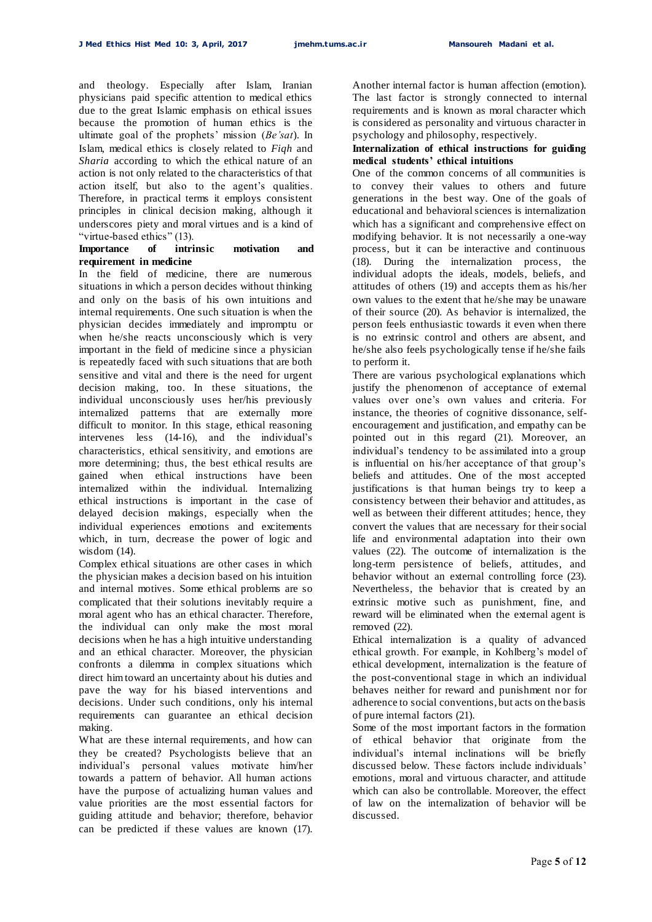and theology. Especially after Islam, Iranian physicians paid specific attention to medical ethics due to the great Islamic emphasis on ethical issues because the promotion of human ethics is the ultimate goal of the prophets' mission (*Be'sat*). In Islam, medical ethics is closely related to *Fiqh* and *Sharia* according to which the ethical nature of an action is not only related to the characteristics of that action itself, but also to the agent's qualities. Therefore, in practical terms it employs consistent principles in clinical decision making, although it underscores piety and moral virtues and is a kind of "virtue-based ethics" (13).

#### **Importance of intrinsic motivation and requirement in medicine**

In the field of medicine, there are numerous situations in which a person decides without thinking and only on the basis of his own intuitions and internal requirements. One such situation is when the physician decides immediately and impromptu or when he/she reacts unconsciously which is very important in the field of medicine since a physician is repeatedly faced with such situations that are both sensitive and vital and there is the need for urgent decision making, too. In these situations, the individual unconsciously uses her/his previously internalized patterns that are externally more difficult to monitor. In this stage, ethical reasoning intervenes less (14-16), and the individual's characteristics, ethical sensitivity, and emotions are more determining; thus, the best ethical results are gained when ethical instructions have been internalized within the individual. Internalizing ethical instructions is important in the case of delayed decision makings, especially when the individual experiences emotions and excitements which, in turn, decrease the power of logic and wisdom (14).

Complex ethical situations are other cases in which the physician makes a decision based on his intuition and internal motives. Some ethical problems are so complicated that their solutions inevitably require a moral agent who has an ethical character. Therefore, the individual can only make the most moral decisions when he has a high intuitive understanding and an ethical character. Moreover, the physician confronts a dilemma in complex situations which direct him toward an uncertainty about his duties and pave the way for his biased interventions and decisions. Under such conditions, only his internal requirements can guarantee an ethical decision making.

What are these internal requirements, and how can they be created? Psychologists believe that an individual's personal values motivate him/her towards a pattern of behavior. All human actions have the purpose of actualizing human values and value priorities are the most essential factors for guiding attitude and behavior; therefore, behavior can be predicted if these values are known (17).

Another internal factor is human affection (emotion). The last factor is strongly connected to internal requirements and is known as moral character which is considered as personality and virtuous character in psychology and philosophy, respectively.

#### **Internalization of ethical instructions for guiding medical students' ethical intuitions**

One of the common concerns of all communities is to convey their values to others and future generations in the best way. One of the goals of educational and behavioral sciences is internalization which has a significant and comprehensive effect on modifying behavior. It is not necessarily a one-way process, but it can be interactive and continuous (18). During the internalization process, the individual adopts the ideals, models, beliefs, and attitudes of others (19) and accepts them as his/her own values to the extent that he/she may be unaware of their source (20). As behavior is internalized, the person feels enthusiastic towards it even when there is no extrinsic control and others are absent, and he/she also feels psychologically tense if he/she fails to perform it.

There are various psychological explanations which justify the phenomenon of acceptance of external values over one's own values and criteria. For instance, the theories of cognitive dissonance, selfencouragement and justification, and empathy can be pointed out in this regard (21). Moreover, an individual's tendency to be assimilated into a group is influential on his/her acceptance of that group's beliefs and attitudes. One of the most accepted justifications is that human beings try to keep a consistency between their behavior and attitudes, as well as between their different attitudes; hence, they convert the values that are necessary for their social life and environmental adaptation into their own values (22). The outcome of internalization is the long-term persistence of beliefs, attitudes, and behavior without an external controlling force (23). Nevertheless, the behavior that is created by an extrinsic motive such as punishment, fine, and reward will be eliminated when the external agent is removed (22).

Ethical internalization is a quality of advanced ethical growth. For example, in Kohlberg's model of ethical development, internalization is the feature of the post-conventional stage in which an individual behaves neither for reward and punishment nor for adherence to social conventions, but acts on the basis of pure internal factors (21).

Some of the most important factors in the formation of ethical behavior that originate from the individual's internal inclinations will be briefly discussed below. These factors include individuals' emotions, moral and virtuous character, and attitude which can also be controllable. Moreover, the effect of law on the internalization of behavior will be discussed.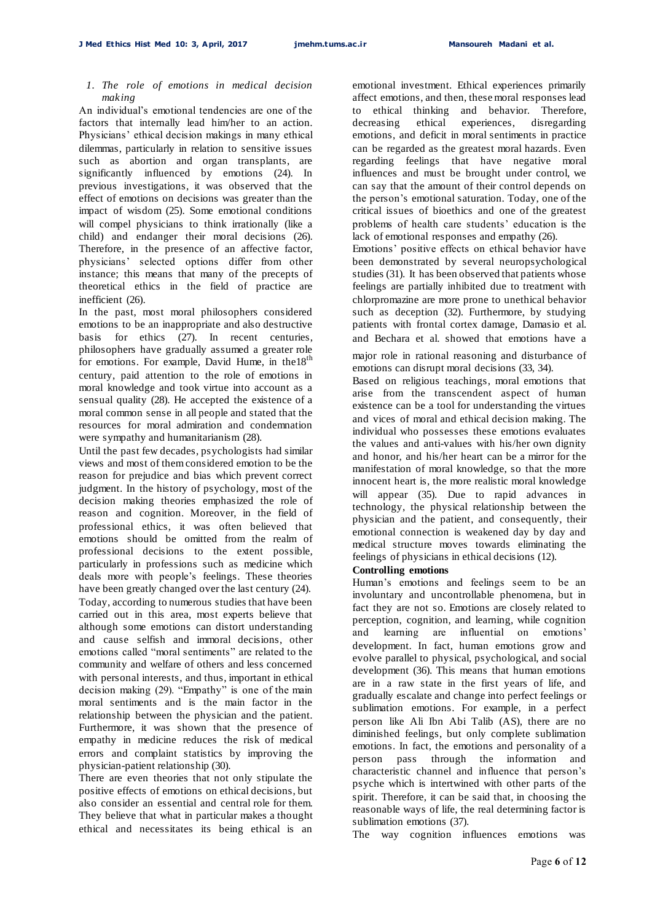#### *1. The role of emotions in medical decision making*

An individual's emotional tendencies are one of the factors that internally lead him/her to an action. Physicians' ethical decision makings in many ethical dilemmas, particularly in relation to sensitive issues such as abortion and organ transplants, are significantly influenced by emotions (24). In previous investigations, it was observed that the effect of emotions on decisions was greater than the impact of wisdom (25). Some emotional conditions will compel physicians to think irrationally (like a child) and endanger their moral decisions (26). Therefore, in the presence of an affective factor, physicians' selected options differ from other instance; this means that many of the precepts of theoretical ethics in the field of practice are  $in$ efficient  $(26)$ 

In the past, most moral philosophers considered emotions to be an inappropriate and also destructive basis for ethics (27). In recent centuries, philosophers have gradually assumed a greater role for emotions. For example, David Hume, in the18<sup>th</sup> century, paid attention to the role of emotions in moral knowledge and took virtue into account as a sensual quality (28). He accepted the existence of a moral common sense in all people and stated that the resources for moral admiration and condemnation were sympathy and humanitarianism (28).

Until the past few decades, psychologists had similar views and most of them considered emotion to be the reason for prejudice and bias which prevent correct judgment. In the history of psychology, most of the decision making theories emphasized the role of reason and cognition. Moreover, in the field of professional ethics, it was often believed that emotions should be omitted from the realm of professional decisions to the extent possible, particularly in professions such as medicine which deals more with people's feelings. These theories have been greatly changed over the last century (24). Today, according to numerous studies that have been carried out in this area, most experts believe that although some emotions can distort understanding and cause selfish and immoral decisions, other emotions called "moral sentiments" are related to the community and welfare of others and less concerned with personal interests, and thus, important in ethical decision making (29). "Empathy" is one of the main moral sentiments and is the main factor in the relationship between the physician and the patient. Furthermore, it was shown that the presence of empathy in medicine reduces the risk of medical errors and complaint statistics by improving the physician-patient relationship (30).

There are even theories that not only stipulate the positive effects of emotions on ethical decisions, but also consider an essential and central role for them. They believe that what in particular makes a thought ethical and necessitates its being ethical is an

emotional investment. Ethical experiences primarily affect emotions, and then, these moral responses lead to ethical thinking and behavior. Therefore, decreasing ethical experiences, disregarding emotions, and deficit in moral sentiments in practice can be regarded as the greatest moral hazards. Even regarding feelings that have negative moral influences and must be brought under control, we can say that the amount of their control depends on the person's emotional saturation. Today, one of the critical issues of bioethics and one of the greatest problems of health care students' education is the lack of emotional responses and empathy (26).

Emotions' positive effects on ethical behavior have been demonstrated by several neuropsychological studies (31). It has been observed that patients whose feelings are partially inhibited due to treatment with chlorpromazine are more prone to unethical behavior such as deception (32). Furthermore, by studying patients with frontal cortex damage, Damasio et al. and Bechara et al. showed that emotions have a

major role in rational reasoning and disturbance of emotions can disrupt moral decisions (33, 34).

Based on religious teachings, moral emotions that arise from the transcendent aspect of human existence can be a tool for understanding the virtues and vices of moral and ethical decision making. The individual who possesses these emotions evaluates the values and anti-values with his/her own dignity and honor, and his/her heart can be a mirror for the manifestation of moral knowledge, so that the more innocent heart is, the more realistic moral knowledge will appear (35). Due to rapid advances in technology, the physical relationship between the physician and the patient, and consequently, their emotional connection is weakened day by day and medical structure moves towards eliminating the feelings of physicians in ethical decisions (12).

#### **Controlling emotions**

Human's emotions and feelings seem to be an involuntary and uncontrollable phenomena, but in fact they are not so. Emotions are closely related to perception, cognition, and learning, while cognition and learning are influential on emotions' development. In fact, human emotions grow and evolve parallel to physical, psychological, and social development (36). This means that human emotions are in a raw state in the first years of life, and gradually escalate and change into perfect feelings or sublimation emotions. For example, in a perfect person like Ali Ibn Abi Talib (AS), there are no diminished feelings, but only complete sublimation emotions. In fact, the emotions and personality of a person pass through the information and characteristic channel and influence that person's psyche which is intertwined with other parts of the spirit. Therefore, it can be said that, in choosing the reasonable ways of life, the real determining factor is sublimation emotions (37).

The way cognition influences emotions was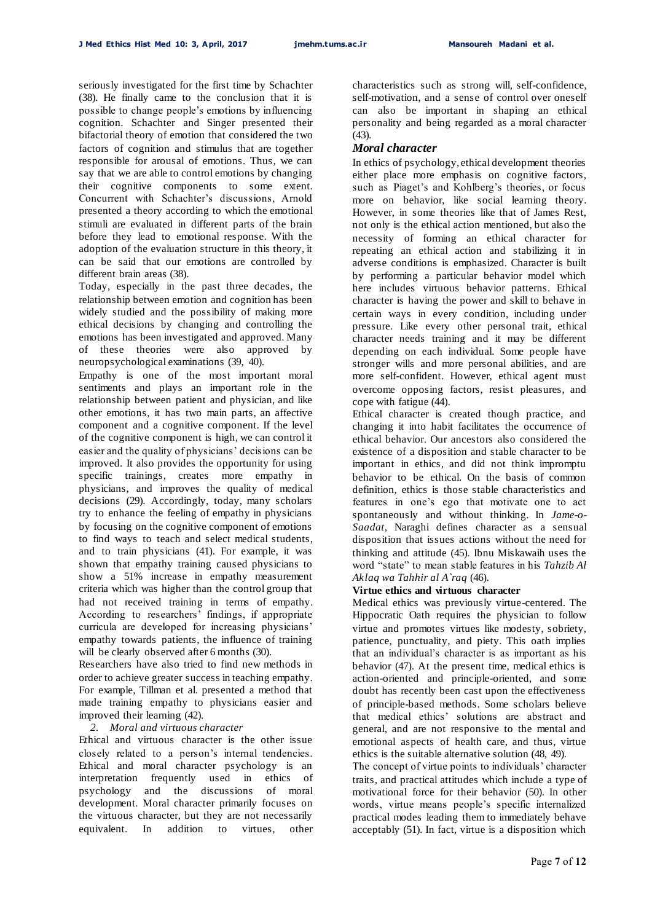seriously investigated for the first time by Schachter (38). He finally came to the conclusion that it is possible to change people's emotions by influencing cognition. Schachter and Singer presented their bifactorial theory of emotion that considered the two factors of cognition and stimulus that are together responsible for arousal of emotions. Thus, we can say that we are able to control emotions by changing their cognitive components to some extent. Concurrent with Schachter's discussions, Arnold presented a theory according to which the emotional stimuli are evaluated in different parts of the brain before they lead to emotional response. With the adoption of the evaluation structure in this theory, it can be said that our emotions are controlled by different brain areas (38).

Today, especially in the past three decades, the relationship between emotion and cognition has been widely studied and the possibility of making more ethical decisions by changing and controlling the emotions has been investigated and approved. Many of these theories were also approved by neuropsychological examinations (39, 40).

Empathy is one of the most important moral sentiments and plays an important role in the relationship between patient and physician, and like other emotions, it has two main parts, an affective component and a cognitive component. If the level of the cognitive component is high, we can control it easier and the quality of physicians' decisions can be improved. It also provides the opportunity for using specific trainings, creates more empathy in physicians, and improves the quality of medical decisions (29). Accordingly, today, many scholars try to enhance the feeling of empathy in physicians by focusing on the cognitive component of emotions to find ways to teach and select medical students, and to train physicians (41). For example, it was shown that empathy training caused physicians to show a 51% increase in empathy measurement criteria which was higher than the control group that had not received training in terms of empathy. According to researchers' findings, if appropriate curricula are developed for increasing physicians' empathy towards patients, the influence of training will be clearly observed after 6 months (30).

Researchers have also tried to find new methods in order to achieve greater success in teaching empathy. For example, Tillman et al. presented a method that made training empathy to physicians easier and improved their learning (42).

### *2. Moral and virtuous character*

Ethical and virtuous character is the other issue closely related to a person's internal tendencies. Ethical and moral character psychology is an interpretation frequently used in ethics of psychology and the discussions of moral development. Moral character primarily focuses on the virtuous character, but they are not necessarily equivalent. In addition to virtues, other characteristics such as strong will, self-confidence, self-motivation, and a sense of control over oneself can also be important in shaping an ethical personality and being regarded as a moral character  $(43)$ .

### *Moral character*

In ethics of psychology, ethical development theories either place more emphasis on cognitive factors, such as Piaget's and Kohlberg's theories, or focus more on behavior, like social learning theory. However, in some theories like that of James Rest, not only is the ethical action mentioned, but also the necessity of forming an ethical character for repeating an ethical action and stabilizing it in adverse conditions is emphasized. Character is built by performing a particular behavior model which here includes virtuous behavior patterns. Ethical character is having the power and skill to behave in certain ways in every condition, including under pressure. Like every other personal trait, ethical character needs training and it may be different depending on each individual. Some people have stronger wills and more personal abilities, and are more self-confident. However, ethical agent must overcome opposing factors, resist pleasures, and cope with fatigue (44).

Ethical character is created though practice, and changing it into habit facilitates the occurrence of ethical behavior. Our ancestors also considered the existence of a disposition and stable character to be important in ethics, and did not think impromptu behavior to be ethical. On the basis of common definition, ethics is those stable characteristics and features in one's ego that motivate one to act spontaneously and without thinking. In *Jame-o-Saadat*, Naraghi defines character as a sensual disposition that issues actions without the need for thinking and attitude (45). Ibnu Miskawaih uses the word "state" to mean stable features in his *Tahzib Al Aklaq wa Tahhir al A`raq* (46).

#### **Virtue ethics and virtuous character**

Medical ethics was previously virtue-centered. The Hippocratic Oath requires the physician to follow virtue and promotes virtues like modesty, sobriety, patience, punctuality, and piety. This oath implies that an individual's character is as important as his behavior (47). At the present time, medical ethics is action-oriented and principle-oriented, and some doubt has recently been cast upon the effectiveness of principle-based methods. Some scholars believe that medical ethics' solutions are abstract and general, and are not responsive to the mental and emotional aspects of health care, and thus, virtue ethics is the suitable alternative solution (48, 49).

The concept of virtue points to individuals' character traits, and practical attitudes which include a type of motivational force for their behavior (50). In other words, virtue means people's specific internalized practical modes leading them to immediately behave acceptably (51). In fact, virtue is a disposition which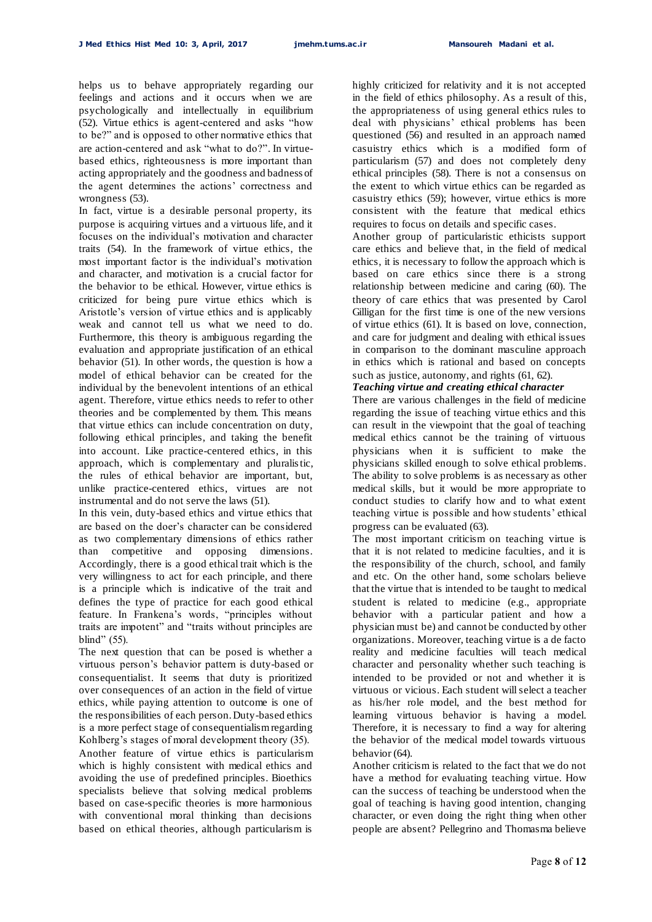helps us to behave appropriately regarding our feelings and actions and it occurs when we are psychologically and intellectually in equilibrium (52). Virtue ethics is agent-centered and asks "how to be?" and is opposed to other normative ethics that are action-centered and ask "what to do?". In virtuebased ethics, righteousness is more important than acting appropriately and the goodness and badness of the agent determines the actions' correctness and wrongness (53).

In fact, virtue is a desirable personal property, its purpose is acquiring virtues and a virtuous life, and it focuses on the individual's motivation and character traits (54). In the framework of virtue ethics, the most important factor is the individual's motivation and character, and motivation is a crucial factor for the behavior to be ethical. However, virtue ethics is criticized for being pure virtue ethics which is Aristotle's version of virtue ethics and is applicably weak and cannot tell us what we need to do. Furthermore, this theory is ambiguous regarding the evaluation and appropriate justification of an ethical behavior (51). In other words, the question is how a model of ethical behavior can be created for the individual by the benevolent intentions of an ethical agent. Therefore, virtue ethics needs to refer to other theories and be complemented by them. This means that virtue ethics can include concentration on duty, following ethical principles, and taking the benefit into account. Like practice-centered ethics, in this approach, which is complementary and pluralistic, the rules of ethical behavior are important, but, unlike practice-centered ethics, virtues are not instrumental and do not serve the laws (51).

In this vein, duty-based ethics and virtue ethics that are based on the doer's character can be considered as two complementary dimensions of ethics rather than competitive and opposing dimensions. Accordingly, there is a good ethical trait which is the very willingness to act for each principle, and there is a principle which is indicative of the trait and defines the type of practice for each good ethical feature. In Frankena's words, "principles without traits are impotent" and "traits without principles are blind" (55).

The next question that can be posed is whether a virtuous person's behavior pattern is duty-based or consequentialist. It seems that duty is prioritized over consequences of an action in the field of virtue ethics, while paying attention to outcome is one of the responsibilities of each person. Duty-based ethics is a more perfect stage of consequentialism regarding Kohlberg's stages of moral development theory (35). Another feature of virtue ethics is particularism which is highly consistent with medical ethics and avoiding the use of predefined principles. Bioethics specialists believe that solving medical problems based on case-specific theories is more harmonious with conventional moral thinking than decisions based on ethical theories, although particularism is

highly criticized for relativity and it is not accepted in the field of ethics philosophy. As a result of this, the appropriateness of using general ethics rules to deal with physicians' ethical problems has been questioned (56) and resulted in an approach named casuistry ethics which is a modified form of particularism (57) and does not completely deny ethical principles (58). There is not a consensus on the extent to which virtue ethics can be regarded as casuistry ethics (59); however, virtue ethics is more consistent with the feature that medical ethics requires to focus on details and specific cases.

Another group of particularistic ethicists support care ethics and believe that, in the field of medical ethics, it is necessary to follow the approach which is based on care ethics since there is a strong relationship between medicine and caring (60). The theory of care ethics that was presented by Carol Gilligan for the first time is one of the new versions of virtue ethics (61). It is based on love, connection, and care for judgment and dealing with ethical issues in comparison to the dominant masculine approach in ethics which is rational and based on concepts such as justice, autonomy, and rights (61, 62).

### *Teaching virtue and creating ethical character*

There are various challenges in the field of medicine regarding the issue of teaching virtue ethics and this can result in the viewpoint that the goal of teaching medical ethics cannot be the training of virtuous physicians when it is sufficient to make the physicians skilled enough to solve ethical problems. The ability to solve problems is as necessary as other medical skills, but it would be more appropriate to conduct studies to clarify how and to what extent teaching virtue is possible and how students' ethical progress can be evaluated (63).

The most important criticism on teaching virtue is that it is not related to medicine faculties, and it is the responsibility of the church, school, and family and etc. On the other hand, some scholars believe that the virtue that is intended to be taught to medical student is related to medicine (e.g., appropriate behavior with a particular patient and how a physician must be) and cannot be conducted by other organizations. Moreover, teaching virtue is a de facto reality and medicine faculties will teach medical character and personality whether such teaching is intended to be provided or not and whether it is virtuous or vicious. Each student will select a teacher as his/her role model, and the best method for learning virtuous behavior is having a model. Therefore, it is necessary to find a way for altering the behavior of the medical model towards virtuous behavior (64).

Another criticism is related to the fact that we do not have a method for evaluating teaching virtue. How can the success of teaching be understood when the goal of teaching is having good intention, changing character, or even doing the right thing when other people are absent? Pellegrino and Thomasma believe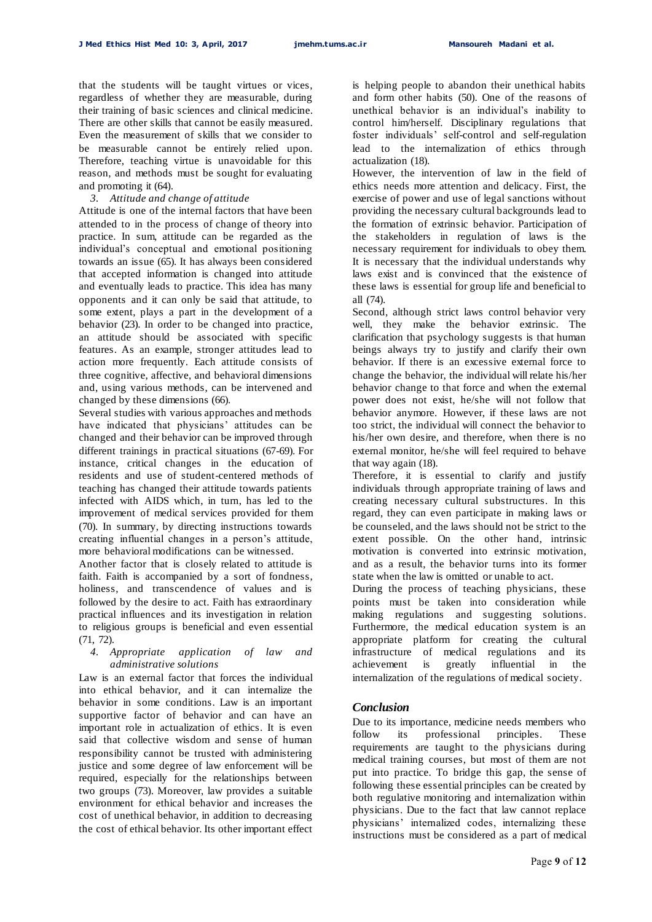that the students will be taught virtues or vices, regardless of whether they are measurable, during their training of basic sciences and clinical medicine. There are other skills that cannot be easily measured. Even the measurement of skills that we consider to be measurable cannot be entirely relied upon. Therefore, teaching virtue is unavoidable for this reason, and methods must be sought for evaluating and promoting it (64).

#### *3. Attitude and change of attitude*

Attitude is one of the internal factors that have been attended to in the process of change of theory into practice. In sum, attitude can be regarded as the individual's conceptual and emotional positioning towards an issue (65). It has always been considered that accepted information is changed into attitude and eventually leads to practice. This idea has many opponents and it can only be said that attitude, to some extent, plays a part in the development of a behavior (23). In order to be changed into practice, an attitude should be associated with specific features. As an example, stronger attitudes lead to action more frequently. Each attitude consists of three cognitive, affective, and behavioral dimensions and, using various methods, can be intervened and changed by these dimensions (66).

Several studies with various approaches and methods have indicated that physicians' attitudes can be changed and their behavior can be improved through different trainings in practical situations (67-69). For instance, critical changes in the education of residents and use of student-centered methods of teaching has changed their attitude towards patients infected with AIDS which, in turn, has led to the improvement of medical services provided for them (70). In summary, by directing instructions towards creating influential changes in a person's attitude, more behavioral modifications can be witnessed.

Another factor that is closely related to attitude is faith. Faith is accompanied by a sort of fondness, holiness, and transcendence of values and is followed by the desire to act. Faith has extraordinary practical influences and its investigation in relation to religious groups is beneficial and even essential (71, 72).

#### *4. Appropriate application of law and administrative solutions*

Law is an external factor that forces the individual into ethical behavior, and it can internalize the behavior in some conditions. Law is an important supportive factor of behavior and can have an important role in actualization of ethics. It is even said that collective wisdom and sense of human responsibility cannot be trusted with administering justice and some degree of law enforcement will be required, especially for the relationships between two groups (73). Moreover, law provides a suitable environment for ethical behavior and increases the cost of unethical behavior, in addition to decreasing the cost of ethical behavior. Its other important effect

is helping people to abandon their unethical habits and form other habits (50). One of the reasons of unethical behavior is an individual's inability to control him/herself. Disciplinary regulations that foster individuals' self-control and self-regulation lead to the internalization of ethics through actualization (18).

However, the intervention of law in the field of ethics needs more attention and delicacy. First, the exercise of power and use of legal sanctions without providing the necessary cultural backgrounds lead to the formation of extrinsic behavior. Participation of the stakeholders in regulation of laws is the necessary requirement for individuals to obey them. It is necessary that the individual understands why laws exist and is convinced that the existence of these laws is essential for group life and beneficial to all (74).

Second, although strict laws control behavior very well, they make the behavior extrinsic. The clarification that psychology suggests is that human beings always try to justify and clarify their own behavior. If there is an excessive external force to change the behavior, the individual will relate his/her behavior change to that force and when the external power does not exist, he/she will not follow that behavior anymore. However, if these laws are not too strict, the individual will connect the behavior to his/her own desire, and therefore, when there is no external monitor, he/she will feel required to behave that way again (18).

Therefore, it is essential to clarify and justify individuals through appropriate training of laws and creating necessary cultural substructures. In this regard, they can even participate in making laws or be counseled, and the laws should not be strict to the extent possible. On the other hand, intrinsic motivation is converted into extrinsic motivation, and as a result, the behavior turns into its former state when the law is omitted or unable to act.

During the process of teaching physicians, these points must be taken into consideration while making regulations and suggesting solutions. Furthermore, the medical education system is an appropriate platform for creating the cultural infrastructure of medical regulations and its achievement is greatly influential in the internalization of the regulations of medical society.

#### *Conclusion*

Due to its importance, medicine needs members who follow its professional principles. These requirements are taught to the physicians during medical training courses, but most of them are not put into practice. To bridge this gap, the sense of following these essential principles can be created by both regulative monitoring and internalization within physicians. Due to the fact that law cannot replace physicians' internalized codes, internalizing these instructions must be considered as a part of medical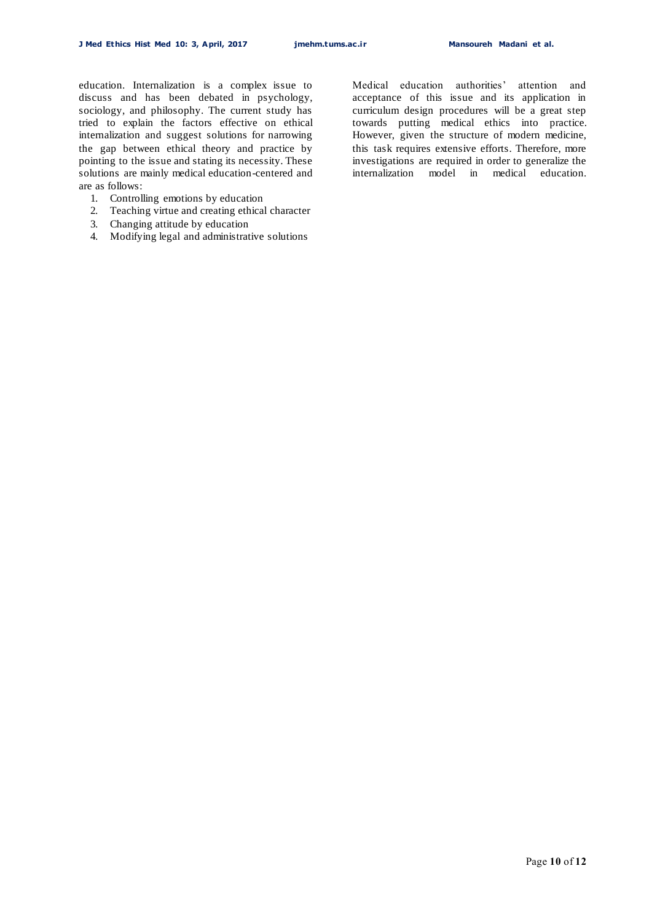education. Internalization is a complex issue to discuss and has been debated in psychology, sociology, and philosophy. The current study has tried to explain the factors effective on ethical internalization and suggest solutions for narrowing the gap between ethical theory and practice by pointing to the issue and stating its necessity. These solutions are mainly medical education-centered and are as follows:

- 1. Controlling emotions by education
- 2. Teaching virtue and creating ethical character
- 3. Changing attitude by education
- 4. Modifying legal and administrative solutions

Medical education authorities' attention and acceptance of this issue and its application in curriculum design procedures will be a great step towards putting medical ethics into practice. However, given the structure of modern medicine, this task requires extensive efforts. Therefore, more investigations are required in order to generalize the internalization model in medical education.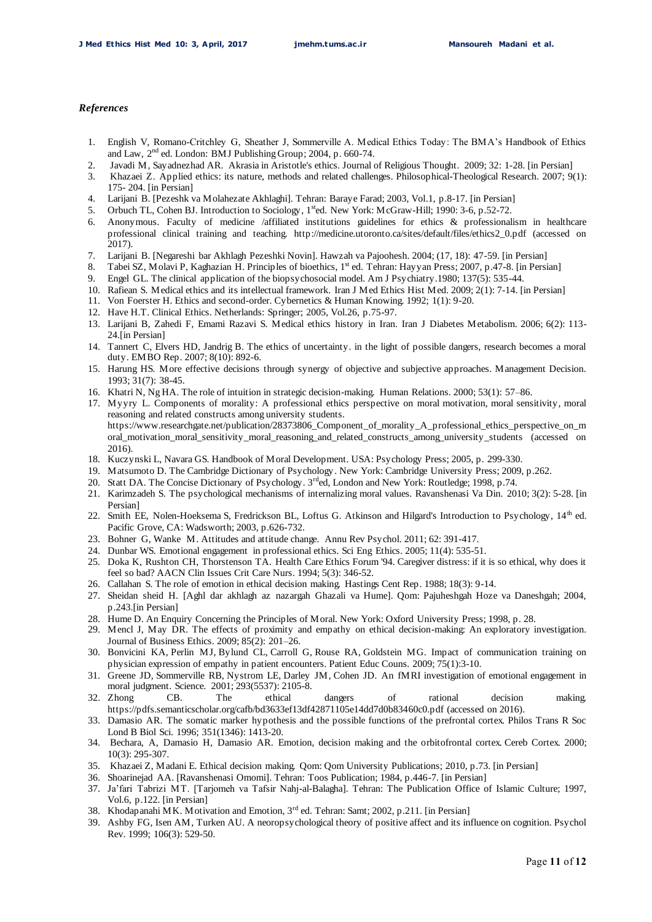#### *References*

- 1. English V, Romano-Critchley G, Sheather J, Sommerville A. Medical Ethics Today: The BMA's Handbook of Ethics and Law, 2nd ed. London: BMJ Publishing Group; 2004, p. 660-74.
- 2. Javadi M, Sayadnezhad AR. Akrasia in Aristotle's ethics. Journal of Religious Thought. 2009; 32: 1-28. [in Persian]
- 3. Khazaei Z. Applied ethics: its nature, methods and related challenges. Philosophical-Theological Research. 2007; 9(1): 175- 204. [in Persian]
- 4. Larijani B. [Pezeshk va Molahezate Akhlaghi]. Tehran: Baraye Farad; 2003, Vol.1, p.8-17. [in Persian]
- 5. Orbuch TL, Cohen BJ. Introduction to Sociology, 1<sup>st</sup>ed. New York: McGraw-Hill; 1990: 3-6, p.52-72.
- 6. Anonymous. Faculty of medicine /affiliated institutions guidelines for ethics & professionalism in healthcare professional clinical training and teaching. http://medicine.utoronto.ca/sites/default/files/ethics2\_0.pdf (accessed on 2017).
- 7. Larijani B. [Negareshi bar Akhlagh Pezeshki Novin]. Hawzah va Pajoohesh. 2004; (17, 18): 47-59. [in Persian]
- 8. Tabei SZ, Molavi P, Kaghazian H. Principles of bioethics, 1<sup>st</sup> ed. Tehran: Hayyan Press; 2007, p.47-8. [in Persian]
- 9. Engel GL. The clinical application of the biopsychosocial model. Am J Psychiatry.1980; 137(5): 535-44.
- 10. Rafiean S. Medical ethics and its intellectual framework. Iran J Med Ethics Hist Med. 2009; 2(1): 7-14. [in Persian]
- 11. Von Foerster H. Ethics and second-order. Cybernetics & Human Knowing. 1992; 1(1): 9-20.
- 12. Have H.T. Clinical Ethics. Netherlands: Springer; 2005, Vol.26, p.75-97.
- 13. Larijani B, Zahedi F, Emami Razavi S. Medical ethics history in Iran. Iran J Diabetes Metabolism. 2006; 6(2): 113- 24.[in Persian]
- 14. Tannert C, Elvers HD, Jandrig B. The ethics of uncertainty. in the light of possible dangers, research becomes a moral duty. EMBO Rep. 2007; 8(10): 892-6.
- 15. Harung HS. More effective decisions through synergy of objective and subjective approaches. Management Decision. 1993; 31(7): 38-45.
- 16. Khatri N, Ng HA. The role of intuition in strategic decision-making. Human Relations. 2000; 53(1): 57–86.
- 17. Myyry L. Components of morality: A professional ethics perspective on moral motivation, moral sensitivity, moral reasoning and related constructs among university students. https://www.researchgate.net/publication/28373806\_Component\_of\_morality\_A\_professional\_ethics\_perspective\_on\_m oral\_motivation\_moral\_sensitivity\_moral\_reasoning\_and\_related\_constructs\_among\_university\_students (accessed on 2016).
- 18. Kuczynski L, Navara GS. Handbook of Moral Development. USA: Psychology Press; 2005, p. 299-330.
- 19. Matsumoto D. The Cambridge Dictionary of Psychology. New York: Cambridge University Press; 2009, p.262.
- 20. Statt DA. The Concise Dictionary of Psychology. 3<sup>rd</sup>ed, London and New York: Routledge; 1998, p.74.
- 21. Karimzadeh S. The psychological mechanisms of internalizing moral values. Ravanshenasi Va Din. 2010; 3(2): 5-28. [in Persian]
- 22. Smith EE, Nolen-Hoeksema S, Fredrickson BL, Loftus G. Atkinson and Hilgard's Introduction to Psychology, 14<sup>th</sup> ed. Pacific Grove, CA: Wadsworth; 2003, p.626-732.
- 23. Bohner G, Wanke M. Attitudes and attitude change. Annu Rev Psychol. 2011; 62: 391-417.
- 24. Dunbar WS. Emotional engagement in professional ethics. Sci Eng Ethics. 2005; 11(4): 535-51.
- 25. Doka K, Rushton CH, Thorstenson TA. Health Care Ethics Forum '94. Caregiver distress: if it is so ethical, why does it feel so bad? AACN Clin Issues Crit Care Nurs. 1994; 5(3): 346-52.
- 26. Callahan S. The role of emotion in ethical decision making. Hastings Cent Rep. 1988; 18(3): 9-14.
- 27. Sheidan sheid H. [Aghl dar akhlagh az nazargah Ghazali va Hume]. Qom: Pajuheshgah Hoze va Daneshgah; 2004, p.243.[in Persian]
- 28. Hume D. An Enquiry Concerning the Principles of Moral. New York: Oxford University Press; 1998, p. 28.
- 29. Mencl J, May DR. The effects of proximity and empathy on ethical decision-making: An exploratory investigation. Journal of Business Ethics. 2009; 85(2): 201–26.
- 30. Bonvicini KA, Perlin MJ, Bylund CL, Carroll G, Rouse RA, Goldstein MG. Impact of communication training on physician expression of empathy in patient encounters. Patient Educ Couns. 2009; 75(1):3-10.
- 31. Greene JD, Sommerville RB, Nystrom LE, Darley JM, Cohen JD. An fMRI investigation of emotional engagement in moral judgment. Science. 2001; 293(5537): 2105-8.
- 32. Zhong CB. The ethical dangers of rational decision making. https://pdfs.semanticscholar.org/cafb/bd3633ef13df42871105e14dd7d0b83460c0.pdf (accessed on 2016).
- 33. Damasio AR. The somatic marker hypothesis and the possible functions of the prefrontal cortex. Philos Trans R Soc Lond B Biol Sci. 1996; 351(1346): 1413-20.
- 34. Bechara, A, Damasio H, Damasio AR. Emotion, decision making and the orbitofrontal cortex. Cereb Cortex. 2000; 10(3): 295-307.
- 35. Khazaei Z, Madani E. Ethical decision making. Qom: Qom University Publications; 2010, p.73. [in Persian]
- 36. Shoarinejad AA. [Ravanshenasi Omomi]. Tehran: Toos Publication; 1984, p.446-7. [in Persian]
- 37. Ja'fari Tabrizi MT. [Tarjomeh va Tafsir Nahj-al-Balagha]. Tehran: The Publication Office of Islamic Culture; 1997, Vol.6, p.122. [in Persian]
- 38. Khodapanahi MK. Motivation and Emotion, 3rd ed. Tehran: Samt; 2002, p.211. [in Persian]
- 39. Ashby FG, Isen AM, Turken AU. A neoropsychological theory of positive affect and its influence on cognition. Psychol Rev. 1999; 106(3): 529-50.